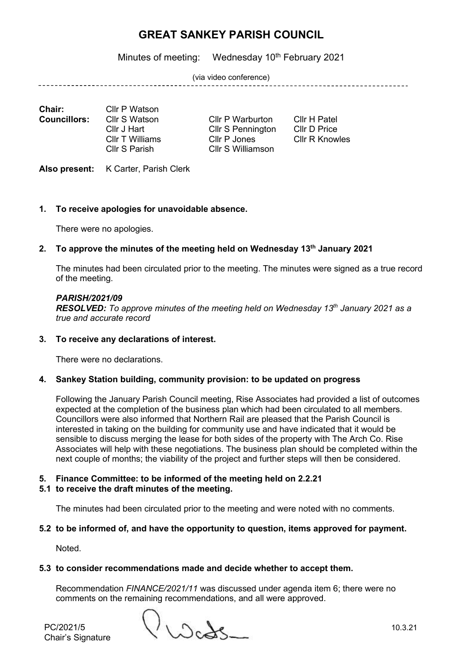Minutes of meeting: Wednesday 10<sup>th</sup> February 2021

(via video conference)

\_\_\_\_\_\_\_\_\_\_\_\_\_\_\_\_\_\_\_\_\_\_\_\_\_\_\_\_\_

**Chair:** Cllr P Watson<br>**Councillors:** Cllr S Watson

Cllr T Williams Cllr P Jones

**Cllr P Warburton Cllr H Patel<br>Cllr S Pennington Cllr D Price** Cllr J Hart Cllr S Pennington Cllr D Price<br>Cllr T Williams Cllr P Jones Cllr R Knowles Cllr S Parish Cllr S Williamson

Also present: K Carter, Parish Clerk

## **1. To receive apologies for unavoidable absence.**

There were no apologies.

## **2. To approve the minutes of the meeting held on Wednesday 13th January 2021**

The minutes had been circulated prior to the meeting. The minutes were signed as a true record of the meeting.

### *PARISH/2021/09*

*RESOLVED: To approve minutes of the meeting held on Wednesday 13th January 2021 as a true and accurate record*

### **3. To receive any declarations of interest.**

There were no declarations.

### **4. Sankey Station building, community provision: to be updated on progress**

Following the January Parish Council meeting, Rise Associates had provided a list of outcomes expected at the completion of the business plan which had been circulated to all members. Councillors were also informed that Northern Rail are pleased that the Parish Council is interested in taking on the building for community use and have indicated that it would be sensible to discuss merging the lease for both sides of the property with The Arch Co. Rise Associates will help with these negotiations. The business plan should be completed within the next couple of months; the viability of the project and further steps will then be considered.

### **5. Finance Committee: to be informed of the meeting held on 2.2.21**

### **5.1 to receive the draft minutes of the meeting.**

The minutes had been circulated prior to the meeting and were noted with no comments.

### **5.2 to be informed of, and have the opportunity to question, items approved for payment.**

Noted.

### **5.3 to consider recommendations made and decide whether to accept them.**

Recommendation *FINANCE/2021/11* was discussed under agenda item 6; there were no comments on the remaining recommendations, and all were approved.

PC/2021/5 10.3.21

Chair's Signature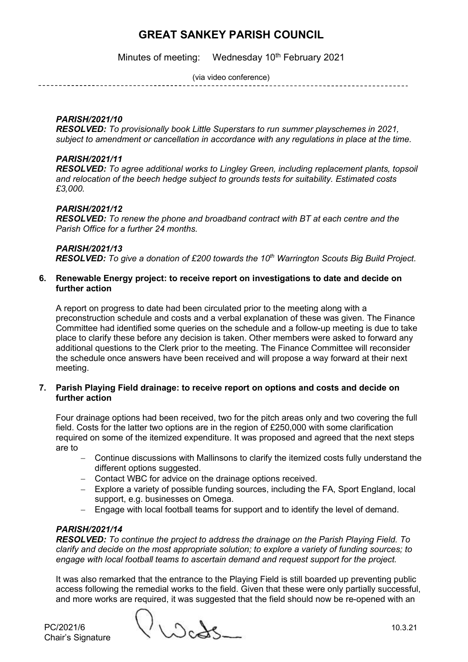Minutes of meeting: Wednesday 10<sup>th</sup> February 2021

(via video conference)

## *PARISH/2021/10*

*RESOLVED: To provisionally book Little Superstars to run summer playschemes in 2021, subject to amendment or cancellation in accordance with any regulations in place at the time.*

### *PARISH/2021/11*

*RESOLVED: To agree additional works to Lingley Green, including replacement plants, topsoil and relocation of the beech hedge subject to grounds tests for suitability. Estimated costs £3,000.*

## *PARISH/2021/12*

*RESOLVED: To renew the phone and broadband contract with BT at each centre and the Parish Office for a further 24 months.*

### *PARISH/2021/13*

*RESOLVED: To give a donation of £200 towards the 10th Warrington Scouts Big Build Project.*

#### **6. Renewable Energy project: to receive report on investigations to date and decide on further action**

A report on progress to date had been circulated prior to the meeting along with a preconstruction schedule and costs and a verbal explanation of these was given. The Finance Committee had identified some queries on the schedule and a follow-up meeting is due to take place to clarify these before any decision is taken. Other members were asked to forward any additional questions to the Clerk prior to the meeting. The Finance Committee will reconsider the schedule once answers have been received and will propose a way forward at their next meeting.

### **7. Parish Playing Field drainage: to receive report on options and costs and decide on further action**

Four drainage options had been received, two for the pitch areas only and two covering the full field. Costs for the latter two options are in the region of £250,000 with some clarification required on some of the itemized expenditure. It was proposed and agreed that the next steps are to

- − Continue discussions with Mallinsons to clarify the itemized costs fully understand the different options suggested.
- − Contact WBC for advice on the drainage options received.
- − Explore a variety of possible funding sources, including the FA, Sport England, local support, e.g. businesses on Omega.
- − Engage with local football teams for support and to identify the level of demand.

# *PARISH/2021/14*

*RESOLVED: To continue the project to address the drainage on the Parish Playing Field. To clarify and decide on the most appropriate solution; to explore a variety of funding sources; to engage with local football teams to ascertain demand and request support for the project.*

It was also remarked that the entrance to the Playing Field is still boarded up preventing public access following the remedial works to the field. Given that these were only partially successful, and more works are required, it was suggested that the field should now be re-opened with an

Chair's Signature

PC/2021/6 10.3.21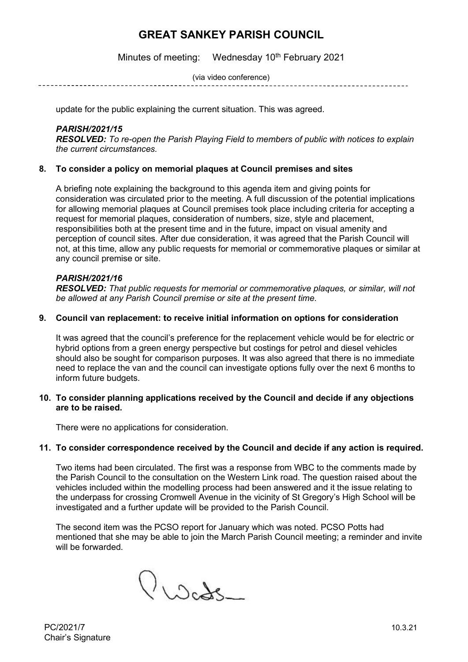Minutes of meeting: Wednesday 10<sup>th</sup> February 2021

(via video conference)

update for the public explaining the current situation. This was agreed.

#### *PARISH/2021/15*

*RESOLVED: To re-open the Parish Playing Field to members of public with notices to explain the current circumstances.*

### **8. To consider a policy on memorial plaques at Council premises and sites**

A briefing note explaining the background to this agenda item and giving points for consideration was circulated prior to the meeting. A full discussion of the potential implications for allowing memorial plaques at Council premises took place including criteria for accepting a request for memorial plaques, consideration of numbers, size, style and placement, responsibilities both at the present time and in the future, impact on visual amenity and perception of council sites. After due consideration, it was agreed that the Parish Council will not, at this time, allow any public requests for memorial or commemorative plaques or similar at any council premise or site.

#### *PARISH/2021/16*

*RESOLVED: That public requests for memorial or commemorative plaques, or similar, will not be allowed at any Parish Council premise or site at the present time.*

#### **9. Council van replacement: to receive initial information on options for consideration**

It was agreed that the council's preference for the replacement vehicle would be for electric or hybrid options from a green energy perspective but costings for petrol and diesel vehicles should also be sought for comparison purposes. It was also agreed that there is no immediate need to replace the van and the council can investigate options fully over the next 6 months to inform future budgets.

#### **10. To consider planning applications received by the Council and decide if any objections are to be raised.**

There were no applications for consideration.

#### **11. To consider correspondence received by the Council and decide if any action is required.**

Two items had been circulated. The first was a response from WBC to the comments made by the Parish Council to the consultation on the Western Link road. The question raised about the vehicles included within the modelling process had been answered and it the issue relating to the underpass for crossing Cromwell Avenue in the vicinity of St Gregory's High School will be investigated and a further update will be provided to the Parish Council.

The second item was the PCSO report for January which was noted. PCSO Potts had mentioned that she may be able to join the March Parish Council meeting; a reminder and invite will be forwarded.

Procts